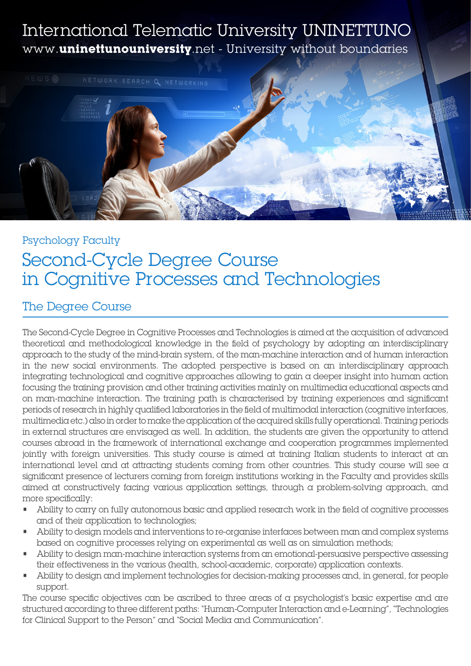# International Telematic University UNINETTUNO www.**uninettunouniversity**.net - University without boundaries



# Psychology Faculty Second-Cycle Degree Course in Cognitive Processes and Technologies

### The Degree Course

The Second-Cycle Degree in Cognitive Processes and Technologies is aimed at the acquisition of advanced theoretical and methodological knowledge in the field of psychology by adopting an interdisciplinary approach to the study of the mind-brain system, of the man-machine interaction and of human interaction in the new social environments. The adopted perspective is based on an interdisciplinary approach integrating technological and cognitive approaches allowing to gain a deeper insight into human action focusing the training provision and other training activities mainly on multimedia educational aspects and on man-machine interaction. The training path is characterised by training experiences and significant periods of research in highly qualified laboratories in the field of multimodal interaction (cognitive interfaces, multimedia etc.) also in order to make the application of the acquired skills fully operational. Training periods in external structures are envisaged as well. In addition, the students are given the opportunity to attend courses abroad in the framework of international exchange and cooperation programmes implemented jointly with foreign universities. This study course is aimed at training Italian students to interact at an international level and at attracting students coming from other countries. This study course will see a significant presence of lecturers coming from foreign institutions working in the Faculty and provides skills aimed at constructively facing various application settings, through a problem-solving approach, and more specifically:

- Ability to carry on fully autonomous basic and applied research work in the field of cognitive processes and of their application to technologies;
- Ability to design models and interventions to re-organise interfaces between man and complex systems based on cognitive processes relying on experimental as well as on simulation methods;
- Ability to design man-machine interaction systems from an emotional-persuasive perspective assessing their effectiveness in the various (health, school-academic, corporate) application contexts.
- Ability to design and implement technologies for decision-making processes and, in general, for people support.

The course specific objectives can be ascribed to three areas of a psychologist's basic expertise and are structured according to three different paths: "Human-Computer Interaction and e-Learning", "Technologies for Clinical Support to the Person" and "Social Media and Communication".